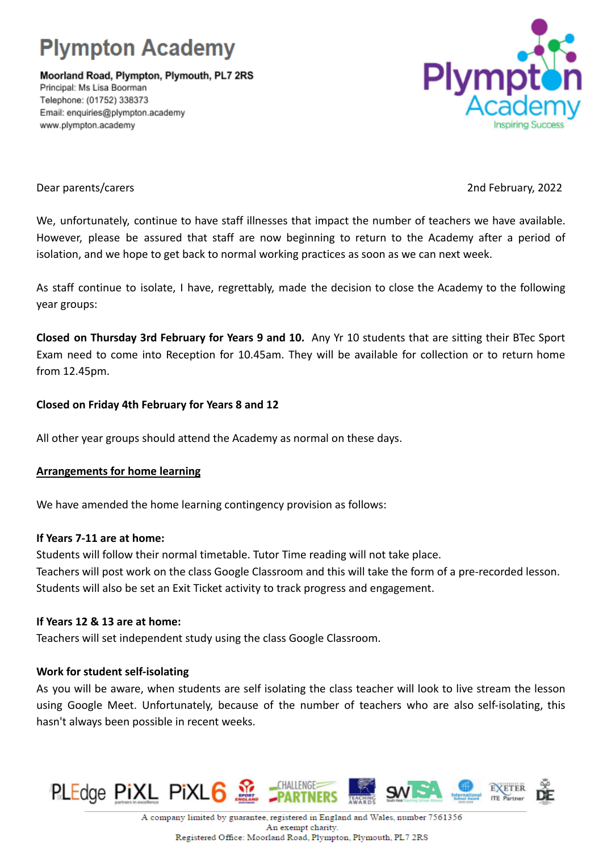# **Plympton Academy**

Moorland Road, Plympton, Plymouth, PL7 2RS Principal: Ms Lisa Boorman Telephone: (01752) 338373 Email: enquiries@plympton.academy www.plympton.academy



#### Dear parents/carers 2nd February, 2022

We, unfortunately, continue to have staff illnesses that impact the number of teachers we have available. However, please be assured that staff are now beginning to return to the Academy after a period of isolation, and we hope to get back to normal working practices as soon as we can next week.

As staff continue to isolate, I have, regrettably, made the decision to close the Academy to the following year groups:

**Closed on Thursday 3rd February for Years 9 and 10.** Any Yr 10 students that are sitting their BTec Sport Exam need to come into Reception for 10.45am. They will be available for collection or to return home from 12.45pm.

## **Closed on Friday 4th February for Years 8 and 12**

All other year groups should attend the Academy as normal on these days.

### **Arrangements for home learning**

We have amended the home learning contingency provision as follows:

### **If Years 7-11 are at home:**

Students will follow their normal timetable. Tutor Time reading will not take place. Teachers will post work on the class Google Classroom and this will take the form of a pre-recorded lesson. Students will also be set an Exit Ticket activity to track progress and engagement.

### **If Years 12 & 13 are at home:**

Teachers will set independent study using the class Google Classroom.

### **Work for student self-isolating**

As you will be aware, when students are self isolating the class teacher will look to live stream the lesson using Google Meet. Unfortunately, because of the number of teachers who are also self-isolating, this hasn't always been possible in recent weeks.